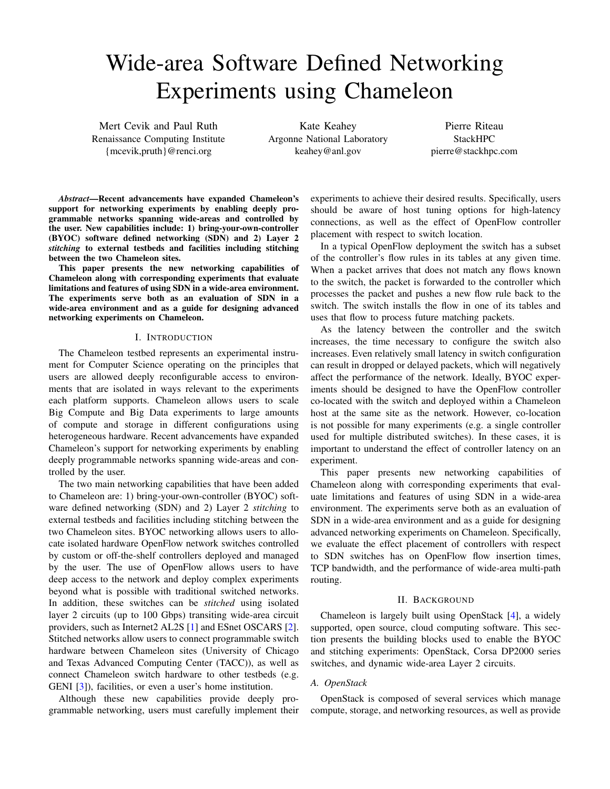# Wide-area Software Defined Networking Experiments using Chameleon

Mert Cevik and Paul Ruth Renaissance Computing Institute {mcevik,pruth}@renci.org

Kate Keahey Argonne National Laboratory keahey@anl.gov

Pierre Riteau StackHPC pierre@stackhpc.com

*Abstract*—Recent advancements have expanded Chameleon's support for networking experiments by enabling deeply programmable networks spanning wide-areas and controlled by the user. New capabilities include: 1) bring-your-own-controller (BYOC) software defined networking (SDN) and 2) Layer 2 *stitching* to external testbeds and facilities including stitching between the two Chameleon sites.

This paper presents the new networking capabilities of Chameleon along with corresponding experiments that evaluate limitations and features of using SDN in a wide-area environment. The experiments serve both as an evaluation of SDN in a wide-area environment and as a guide for designing advanced networking experiments on Chameleon.

#### I. INTRODUCTION

The Chameleon testbed represents an experimental instrument for Computer Science operating on the principles that users are allowed deeply reconfigurable access to environments that are isolated in ways relevant to the experiments each platform supports. Chameleon allows users to scale Big Compute and Big Data experiments to large amounts of compute and storage in different configurations using heterogeneous hardware. Recent advancements have expanded Chameleon's support for networking experiments by enabling deeply programmable networks spanning wide-areas and controlled by the user.

The two main networking capabilities that have been added to Chameleon are: 1) bring-your-own-controller (BYOC) software defined networking (SDN) and 2) Layer 2 *stitching* to external testbeds and facilities including stitching between the two Chameleon sites. BYOC networking allows users to allocate isolated hardware OpenFlow network switches controlled by custom or off-the-shelf controllers deployed and managed by the user. The use of OpenFlow allows users to have deep access to the network and deploy complex experiments beyond what is possible with traditional switched networks. In addition, these switches can be *stitched* using isolated layer 2 circuits (up to 100 Gbps) transiting wide-area circuit providers, such as Internet2 AL2S [\[1\]](#page-5-0) and ESnet OSCARS [\[2\]](#page-5-1). Stitched networks allow users to connect programmable switch hardware between Chameleon sites (University of Chicago and Texas Advanced Computing Center (TACC)), as well as connect Chameleon switch hardware to other testbeds (e.g. GENI [\[3\]](#page-5-2)), facilities, or even a user's home institution.

Although these new capabilities provide deeply programmable networking, users must carefully implement their experiments to achieve their desired results. Specifically, users should be aware of host tuning options for high-latency connections, as well as the effect of OpenFlow controller placement with respect to switch location.

In a typical OpenFlow deployment the switch has a subset of the controller's flow rules in its tables at any given time. When a packet arrives that does not match any flows known to the switch, the packet is forwarded to the controller which processes the packet and pushes a new flow rule back to the switch. The switch installs the flow in one of its tables and uses that flow to process future matching packets.

As the latency between the controller and the switch increases, the time necessary to configure the switch also increases. Even relatively small latency in switch configuration can result in dropped or delayed packets, which will negatively affect the performance of the network. Ideally, BYOC experiments should be designed to have the OpenFlow controller co-located with the switch and deployed within a Chameleon host at the same site as the network. However, co-location is not possible for many experiments (e.g. a single controller used for multiple distributed switches). In these cases, it is important to understand the effect of controller latency on an experiment.

This paper presents new networking capabilities of Chameleon along with corresponding experiments that evaluate limitations and features of using SDN in a wide-area environment. The experiments serve both as an evaluation of SDN in a wide-area environment and as a guide for designing advanced networking experiments on Chameleon. Specifically, we evaluate the effect placement of controllers with respect to SDN switches has on OpenFlow flow insertion times, TCP bandwidth, and the performance of wide-area multi-path routing.

#### II. BACKGROUND

Chameleon is largely built using OpenStack [\[4\]](#page-5-3), a widely supported, open source, cloud computing software. This section presents the building blocks used to enable the BYOC and stitching experiments: OpenStack, Corsa DP2000 series switches, and dynamic wide-area Layer 2 circuits.

## <span id="page-0-0"></span>*A. OpenStack*

OpenStack is composed of several services which manage compute, storage, and networking resources, as well as provide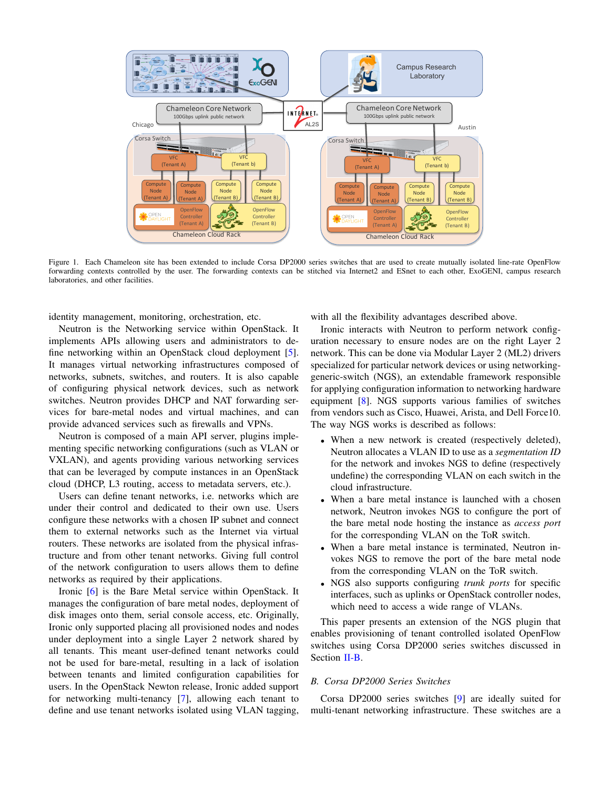

<span id="page-1-1"></span>Figure 1. Each Chameleon site has been extended to include Corsa DP2000 series switches that are used to create mutually isolated line-rate OpenFlow forwarding contexts controlled by the user. The forwarding contexts can be stitched via Internet2 and ESnet to each other, ExoGENI, campus research laboratories, and other facilities.

identity management, monitoring, orchestration, etc.

Neutron is the Networking service within OpenStack. It implements APIs allowing users and administrators to define networking within an OpenStack cloud deployment [\[5\]](#page-5-4). It manages virtual networking infrastructures composed of networks, subnets, switches, and routers. It is also capable of configuring physical network devices, such as network switches. Neutron provides DHCP and NAT forwarding services for bare-metal nodes and virtual machines, and can provide advanced services such as firewalls and VPNs.

Neutron is composed of a main API server, plugins implementing specific networking configurations (such as VLAN or VXLAN), and agents providing various networking services that can be leveraged by compute instances in an OpenStack cloud (DHCP, L3 routing, access to metadata servers, etc.).

Users can define tenant networks, i.e. networks which are under their control and dedicated to their own use. Users configure these networks with a chosen IP subnet and connect them to external networks such as the Internet via virtual routers. These networks are isolated from the physical infrastructure and from other tenant networks. Giving full control of the network configuration to users allows them to define networks as required by their applications.

Ironic [\[6\]](#page-5-5) is the Bare Metal service within OpenStack. It manages the configuration of bare metal nodes, deployment of disk images onto them, serial console access, etc. Originally, Ironic only supported placing all provisioned nodes and nodes under deployment into a single Layer 2 network shared by all tenants. This meant user-defined tenant networks could not be used for bare-metal, resulting in a lack of isolation between tenants and limited configuration capabilities for users. In the OpenStack Newton release, Ironic added support for networking multi-tenancy [\[7\]](#page-5-6), allowing each tenant to define and use tenant networks isolated using VLAN tagging,

with all the flexibility advantages described above.

Ironic interacts with Neutron to perform network configuration necessary to ensure nodes are on the right Layer 2 network. This can be done via Modular Layer 2 (ML2) drivers specialized for particular network devices or using networkinggeneric-switch (NGS), an extendable framework responsible for applying configuration information to networking hardware equipment [\[8\]](#page-5-7). NGS supports various families of switches from vendors such as Cisco, Huawei, Arista, and Dell Force10. The way NGS works is described as follows:

- When a new network is created (respectively deleted), Neutron allocates a VLAN ID to use as a *segmentation ID* for the network and invokes NGS to define (respectively undefine) the corresponding VLAN on each switch in the cloud infrastructure.
- When a bare metal instance is launched with a chosen network, Neutron invokes NGS to configure the port of the bare metal node hosting the instance as *access port* for the corresponding VLAN on the ToR switch.
- When a bare metal instance is terminated, Neutron invokes NGS to remove the port of the bare metal node from the corresponding VLAN on the ToR switch.
- NGS also supports configuring *trunk ports* for specific interfaces, such as uplinks or OpenStack controller nodes, which need to access a wide range of VLANs.

This paper presents an extension of the NGS plugin that enables provisioning of tenant controlled isolated OpenFlow switches using Corsa DP2000 series switches discussed in Section [II-B.](#page-1-0)

### <span id="page-1-0"></span>*B. Corsa DP2000 Series Switches*

Corsa DP2000 series switches [\[9\]](#page-5-8) are ideally suited for multi-tenant networking infrastructure. These switches are a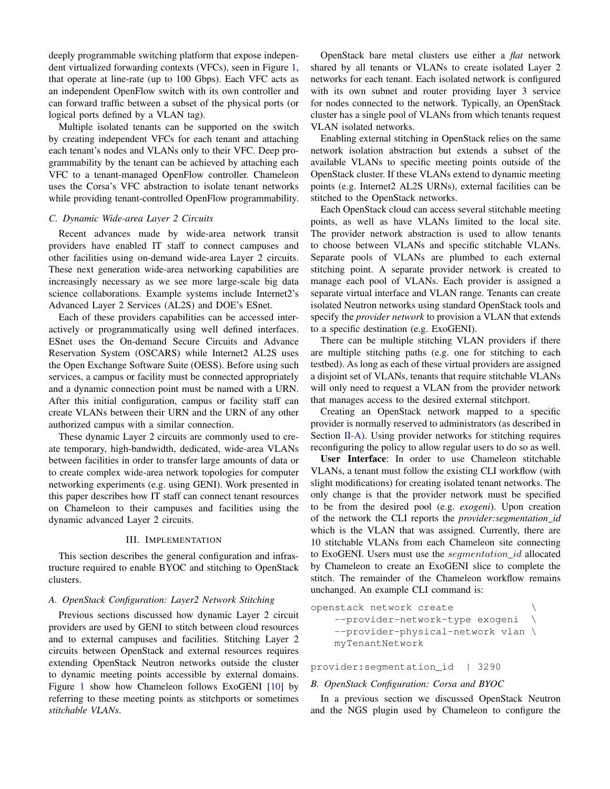deeply programmable switching platform that expose independent virtualized forwarding contexts (VFCs), seen in Figure [1,](#page-1-1) that operate at line-rate (up to 100 Gbps). Each VFC acts as an independent OpenFlow switch with its own controller and can forward traffic between a subset of the physical ports (or logical ports defined by a VLAN tag).

Multiple isolated tenants can be supported on the switch by creating independent VFCs for each tenant and attaching each tenant's nodes and VLANs only to their VFC. Deep programmability by the tenant can be achieved by attaching each VFC to a tenant-managed OpenFlow controller. Chameleon uses the Corsa's VFC abstraction to isolate tenant networks while providing tenant-controlled OpenFlow programmability.

# *C. Dynamic Wide-area Layer 2 Circuits*

Recent advances made by wide-area network transit providers have enabled IT staff to connect campuses and other facilities using on-demand wide-area Layer 2 circuits. These next generation wide-area networking capabilities are increasingly necessary as we see more large-scale big data science collaborations. Example systems include Internet2's Advanced Layer 2 Services (AL2S) and DOE's ESnet.

Each of these providers capabilities can be accessed interactively or programmatically using well defined interfaces. ESnet uses the On-demand Secure Circuits and Advance Reservation System (OSCARS) while Internet2 AL2S uses the Open Exchange Software Suite (OESS). Before using such services, a campus or facility must be connected appropriately and a dynamic connection point must be named with a URN. After this initial configuration, campus or facility staff can create VLANs between their URN and the URN of any other authorized campus with a similar connection.

These dynamic Layer 2 circuits are commonly used to create temporary, high-bandwidth, dedicated, wide-area VLANs between facilities in order to transfer large amounts of data or to create complex wide-area network topologies for computer networking experiments (e.g. using GENI). Work presented in this paper describes how IT staff can connect tenant resources on Chameleon to their campuses and facilities using the dynamic advanced Layer 2 circuits.

#### III. IMPLEMENTATION

This section describes the general configuration and infrastructure required to enable BYOC and stitching to OpenStack clusters.

## *A. OpenStack Configuration: Layer2 Network Stitching*

Previous sections discussed how dynamic Layer 2 circuit providers are used by GENI to stitch between cloud resources and to external campuses and facilities. Stitching Layer 2 circuits between OpenStack and external resources requires extending OpenStack Neutron networks outside the cluster to dynamic meeting points accessible by external domains. Figure [1](#page-1-1) show how Chameleon follows ExoGENI [\[10\]](#page-5-9) by referring to these meeting points as stitchports or sometimes *stitchable VLANs*.

OpenStack bare metal clusters use either a *flat* network shared by all tenants or VLANs to create isolated Layer 2 networks for each tenant. Each isolated network is configured with its own subnet and router providing layer 3 service for nodes connected to the network. Typically, an OpenStack cluster has a single pool of VLANs from which tenants request VLAN isolated networks.

Enabling external stitching in OpenStack relies on the same network isolation abstraction but extends a subset of the available VLANs to specific meeting points outside of the OpenStack cluster. If these VLANs extend to dynamic meeting points (e.g. Internet2 AL2S URNs), external facilities can be stitched to the OpenStack networks.

Each OpenStack cloud can access several stitchable meeting points, as well as have VLANs limited to the local site. The provider network abstraction is used to allow tenants to choose between VLANs and specific stitchable VLANs. Separate pools of VLANs are plumbed to each external stitching point. A separate provider network is created to manage each pool of VLANs. Each provider is assigned a separate virtual interface and VLAN range. Tenants can create isolated Neutron networks using standard OpenStack tools and specify the *provider network* to provision a VLAN that extends to a specific destination (e.g. ExoGENI).

There can be multiple stitching VLAN providers if there are multiple stitching paths (e.g. one for stitching to each testbed). As long as each of these virtual providers are assigned a disjoint set of VLANs, tenants that require stitchable VLANs will only need to request a VLAN from the provider network that manages access to the desired external stitchport.

Creating an OpenStack network mapped to a specific provider is normally reserved to administrators (as described in Section [II-A\)](#page-0-0). Using provider networks for stitching requires reconfiguring the policy to allow regular users to do so as well.

User Interface: In order to use Chameleon stitchable VLANs, a tenant must follow the existing CLI workflow (with slight modifications) for creating isolated tenant networks. The only change is that the provider network must be specified to be from the desired pool (e.g. *exogeni*). Upon creation of the network the CLI reports the *provider:segmentation\_id* which is the VLAN that was assigned. Currently, there are 10 stitchable VLANs from each Chameleon site connecting to ExoGENI. Users must use the *segmentation\_id* allocated by Chameleon to create an ExoGENI slice to complete the stitch. The remainder of the Chameleon workflow remains unchanged. An example CLI command is:

```
openstack network create \
  --provider-network-type exogeni \
  --provider-physical-network vlan \
  myTenantNetwork
```
provider:segmentation\_id | 3290

## *B. OpenStack Configuration: Corsa and BYOC*

In a previous section we discussed OpenStack Neutron and the NGS plugin used by Chameleon to configure the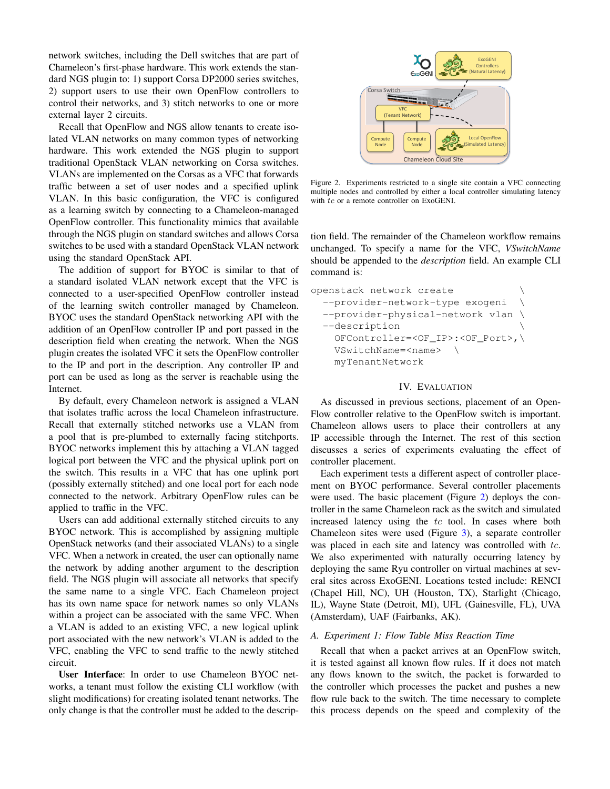network switches, including the Dell switches that are part of Chameleon's first-phase hardware. This work extends the standard NGS plugin to: 1) support Corsa DP2000 series switches, 2) support users to use their own OpenFlow controllers to control their networks, and 3) stitch networks to one or more external layer 2 circuits.

Recall that OpenFlow and NGS allow tenants to create isolated VLAN networks on many common types of networking hardware. This work extended the NGS plugin to support traditional OpenStack VLAN networking on Corsa switches. VLANs are implemented on the Corsas as a VFC that forwards traffic between a set of user nodes and a specified uplink VLAN. In this basic configuration, the VFC is configured as a learning switch by connecting to a Chameleon-managed OpenFlow controller. This functionality mimics that available through the NGS plugin on standard switches and allows Corsa switches to be used with a standard OpenStack VLAN network using the standard OpenStack API.

The addition of support for BYOC is similar to that of a standard isolated VLAN network except that the VFC is connected to a user-specified OpenFlow controller instead of the learning switch controller managed by Chameleon. BYOC uses the standard OpenStack networking API with the addition of an OpenFlow controller IP and port passed in the description field when creating the network. When the NGS plugin creates the isolated VFC it sets the OpenFlow controller to the IP and port in the description. Any controller IP and port can be used as long as the server is reachable using the Internet.

By default, every Chameleon network is assigned a VLAN that isolates traffic across the local Chameleon infrastructure. Recall that externally stitched networks use a VLAN from a pool that is pre-plumbed to externally facing stitchports. BYOC networks implement this by attaching a VLAN tagged logical port between the VFC and the physical uplink port on the switch. This results in a VFC that has one uplink port (possibly externally stitched) and one local port for each node connected to the network. Arbitrary OpenFlow rules can be applied to traffic in the VFC.

Users can add additional externally stitched circuits to any BYOC network. This is accomplished by assigning multiple OpenStack networks (and their associated VLANs) to a single VFC. When a network in created, the user can optionally name the network by adding another argument to the description field. The NGS plugin will associate all networks that specify the same name to a single VFC. Each Chameleon project has its own name space for network names so only VLANs within a project can be associated with the same VFC. When a VLAN is added to an existing VFC, a new logical uplink port associated with the new network's VLAN is added to the VFC, enabling the VFC to send traffic to the newly stitched circuit.

User Interface: In order to use Chameleon BYOC networks, a tenant must follow the existing CLI workflow (with slight modifications) for creating isolated tenant networks. The only change is that the controller must be added to the descrip-



<span id="page-3-0"></span>Figure 2. Experiments restricted to a single site contain a VFC connecting multiple nodes and controlled by either a local controller simulating latency with tc or a remote controller on ExoGENI.

tion field. The remainder of the Chameleon workflow remains unchanged. To specify a name for the VFC, *VSwitchName* should be appended to the *description* field. An example CLI command is:

```
openstack network create \
--provider-network-type exogeni \
--provider-physical-network vlan \
--description \
  OFController=<OF_IP>:<OF_Port>,\
  VSwitchName=<name> \
  myTenantNetwork
```
## IV. EVALUATION

As discussed in previous sections, placement of an Open-Flow controller relative to the OpenFlow switch is important. Chameleon allows users to place their controllers at any IP accessible through the Internet. The rest of this section discusses a series of experiments evaluating the effect of controller placement.

Each experiment tests a different aspect of controller placement on BYOC performance. Several controller placements were used. The basic placement (Figure [2\)](#page-3-0) deploys the controller in the same Chameleon rack as the switch and simulated increased latency using the  $tc$  tool. In cases where both Chameleon sites were used (Figure [3\)](#page-4-0), a separate controller was placed in each site and latency was controlled with tc. We also experimented with naturally occurring latency by deploying the same Ryu controller on virtual machines at several sites across ExoGENI. Locations tested include: RENCI (Chapel Hill, NC), UH (Houston, TX), Starlight (Chicago, IL), Wayne State (Detroit, MI), UFL (Gainesville, FL), UVA (Amsterdam), UAF (Fairbanks, AK).

## *A. Experiment 1: Flow Table Miss Reaction Time*

Recall that when a packet arrives at an OpenFlow switch, it is tested against all known flow rules. If it does not match any flows known to the switch, the packet is forwarded to the controller which processes the packet and pushes a new flow rule back to the switch. The time necessary to complete this process depends on the speed and complexity of the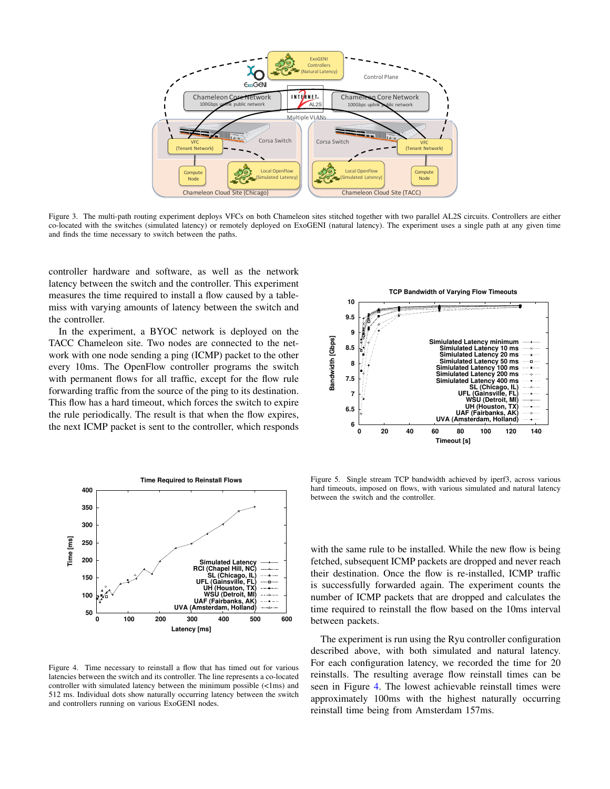

<span id="page-4-0"></span>Figure 3. The multi-path routing experiment deploys VFCs on both Chameleon sites stitched together with two parallel AL2S circuits. Controllers are either co-located with the switches (simulated latency) or remotely deployed on ExoGENI (natural latency). The experiment uses a single path at any given time and finds the time necessary to switch between the paths.

controller hardware and software, as well as the network latency between the switch and the controller. This experiment measures the time required to install a flow caused by a tablemiss with varying amounts of latency between the switch and the controller.

In the experiment, a BYOC network is deployed on the TACC Chameleon site. Two nodes are connected to the network with one node sending a ping (ICMP) packet to the other every 10ms. The OpenFlow controller programs the switch with permanent flows for all traffic, except for the flow rule forwarding traffic from the source of the ping to its destination. This flow has a hard timeout, which forces the switch to expire the rule periodically. The result is that when the flow expires, the next ICMP packet is sent to the controller, which responds



<span id="page-4-1"></span>Figure 4. Time necessary to reinstall a flow that has timed out for various latencies between the switch and its controller. The line represents a co-located controller with simulated latency between the minimum possible (<1ms) and 512 ms. Individual dots show naturally occurring latency between the switch and controllers running on various ExoGENI nodes.



<span id="page-4-2"></span>Figure 5. Single stream TCP bandwidth achieved by iperf3, across various hard timeouts, imposed on flows, with various simulated and natural latency between the switch and the controller.

with the same rule to be installed. While the new flow is being fetched, subsequent ICMP packets are dropped and never reach their destination. Once the flow is re-installed, ICMP traffic is successfully forwarded again. The experiment counts the number of ICMP packets that are dropped and calculates the time required to reinstall the flow based on the 10ms interval between packets.

The experiment is run using the Ryu controller configuration described above, with both simulated and natural latency. For each configuration latency, we recorded the time for 20 reinstalls. The resulting average flow reinstall times can be seen in Figure [4.](#page-4-1) The lowest achievable reinstall times were approximately 100ms with the highest naturally occurring reinstall time being from Amsterdam 157ms.